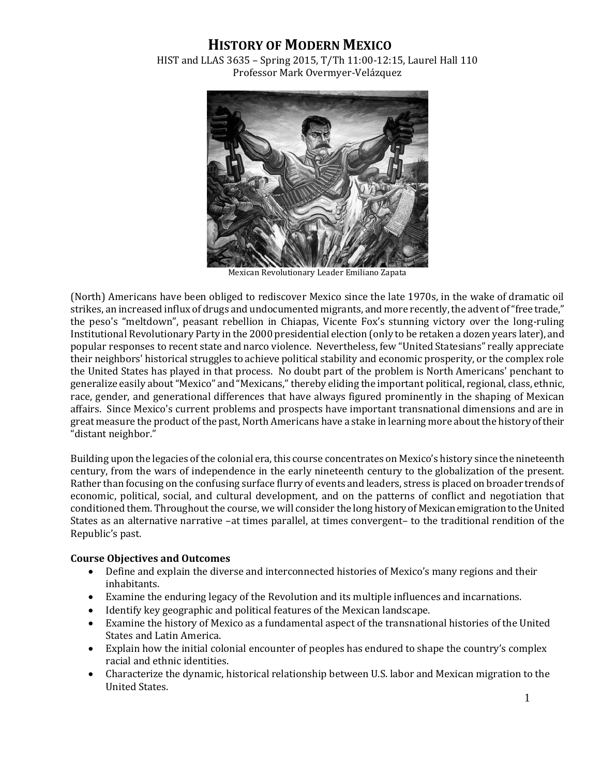## **HISTORY OF MODERN MEXICO**

HIST and LLAS 3635 – Spring 2015, T/Th 11:00-12:15, Laurel Hall 110 Professor Mark Overmyer-Velázquez



Mexican Revolutionary Leader Emiliano Zapata

(North) Americans have been obliged to rediscover Mexico since the late 1970s, in the wake of dramatic oil strikes, an increased influx of drugs and undocumented migrants, and more recently, the advent of "free trade," the peso's "meltdown", peasant rebellion in Chiapas, Vicente Fox's stunning victory over the long-ruling Institutional Revolutionary Party in the 2000 presidential election (only to be retaken a dozen years later), and popular responses to recent state and narco violence. Nevertheless, few "United Statesians" really appreciate their neighbors' historical struggles to achieve political stability and economic prosperity, or the complex role the United States has played in that process. No doubt part of the problem is North Americans' penchant to generalize easily about "Mexico" and "Mexicans," thereby eliding the important political, regional, class, ethnic, race, gender, and generational differences that have always figured prominently in the shaping of Mexican affairs. Since Mexico's current problems and prospects have important transnational dimensions and are in great measure the product of the past, North Americans have a stake in learning more about the history of their "distant neighbor."

Building upon the legacies of the colonial era, this course concentrates on Mexico's history since the nineteenth century, from the wars of independence in the early nineteenth century to the globalization of the present. Rather than focusing on the confusing surface flurry of events and leaders, stress is placed on broader trends of economic, political, social, and cultural development, and on the patterns of conflict and negotiation that conditioned them. Throughout the course, we will consider the long history of Mexican emigration to the United States as an alternative narrative –at times parallel, at times convergent– to the traditional rendition of the Republic's past.

## **Course Objectives and Outcomes**

- Define and explain the diverse and interconnected histories of Mexico's many regions and their inhabitants.
- Examine the enduring legacy of the Revolution and its multiple influences and incarnations.
- Identify key geographic and political features of the Mexican landscape.
- Examine the history of Mexico as a fundamental aspect of the transnational histories of the United States and Latin America.
- Explain how the initial colonial encounter of peoples has endured to shape the country's complex racial and ethnic identities.
- Characterize the dynamic, historical relationship between U.S. labor and Mexican migration to the United States.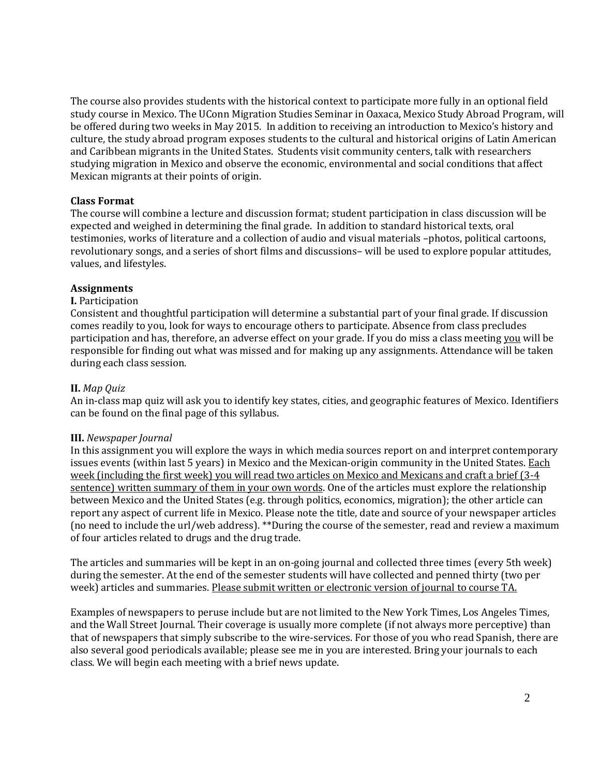The course also provides students with the historical context to participate more fully in an optional field study course in Mexico. The UConn Migration Studies Seminar in Oaxaca, Mexico Study Abroad Program, will be offered during two weeks in May 2015. In addition to receiving an introduction to Mexico's history and culture, the study abroad program exposes students to the cultural and historical origins of Latin American and Caribbean migrants in the United States. Students visit community centers, talk with researchers studying migration in Mexico and observe the economic, environmental and social conditions that affect Mexican migrants at their points of origin.

## **Class Format**

The course will combine a lecture and discussion format; student participation in class discussion will be expected and weighed in determining the final grade. In addition to standard historical texts, oral testimonies, works of literature and a collection of audio and visual materials –photos, political cartoons, revolutionary songs, and a series of short films and discussions– will be used to explore popular attitudes, values, and lifestyles.

## **Assignments**

## **I.** Participation

Consistent and thoughtful participation will determine a substantial part of your final grade. If discussion comes readily to you, look for ways to encourage others to participate. Absence from class precludes participation and has, therefore, an adverse effect on your grade. If you do miss a class meeting you will be responsible for finding out what was missed and for making up any assignments. Attendance will be taken during each class session.

## **II.** *Map Quiz*

An in-class map quiz will ask you to identify key states, cities, and geographic features of Mexico. Identifiers can be found on the final page of this syllabus.

## **III.** *Newspaper Journal*

In this assignment you will explore the ways in which media sources report on and interpret contemporary issues events (within last 5 years) in Mexico and the Mexican-origin community in the United States. Each week (including the first week) you will read two articles on Mexico and Mexicans and craft a brief (3-4 sentence) written summary of them in your own words. One of the articles must explore the relationship between Mexico and the United States (e.g. through politics, economics, migration); the other article can report any aspect of current life in Mexico. Please note the title, date and source of your newspaper articles (no need to include the url/web address). \*\*During the course of the semester, read and review a maximum of four articles related to drugs and the drug trade.

The articles and summaries will be kept in an on-going journal and collected three times (every 5th week) during the semester. At the end of the semester students will have collected and penned thirty (two per week) articles and summaries. Please submit written or electronic version of journal to course TA.

Examples of newspapers to peruse include but are not limited to the New York Times, Los Angeles Times, and the Wall Street Journal. Their coverage is usually more complete (if not always more perceptive) than that of newspapers that simply subscribe to the wire-services. For those of you who read Spanish, there are also several good periodicals available; please see me in you are interested. Bring your journals to each class. We will begin each meeting with a brief news update.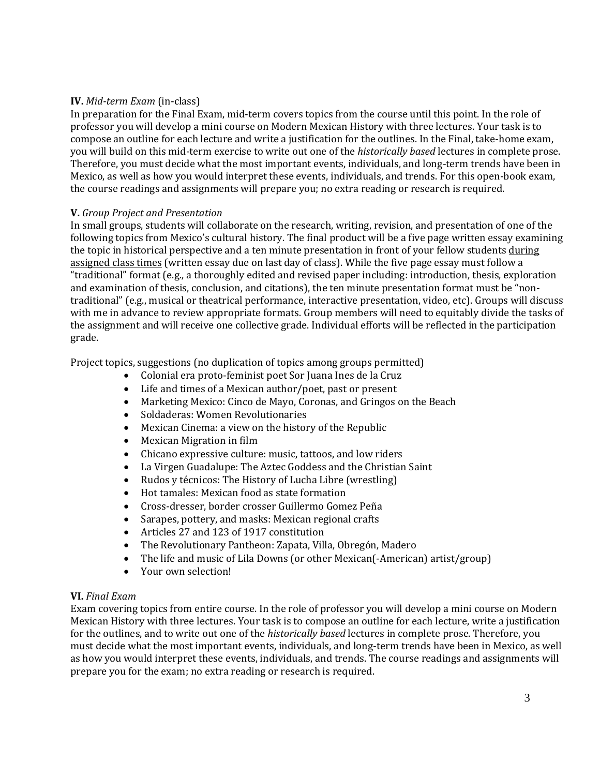## **IV.** *Mid-term Exam* (in-class)

In preparation for the Final Exam, mid-term covers topics from the course until this point. In the role of professor you will develop a mini course on Modern Mexican History with three lectures. Your task is to compose an outline for each lecture and write a justification for the outlines. In the Final, take-home exam, you will build on this mid-term exercise to write out one of the *historically based* lectures in complete prose. Therefore, you must decide what the most important events, individuals, and long-term trends have been in Mexico, as well as how you would interpret these events, individuals, and trends. For this open-book exam, the course readings and assignments will prepare you; no extra reading or research is required.

## **V.** *Group Project and Presentation*

In small groups, students will collaborate on the research, writing, revision, and presentation of one of the following topics from Mexico's cultural history. The final product will be a five page written essay examining the topic in historical perspective and a ten minute presentation in front of your fellow students during assigned class times (written essay due on last day of class). While the five page essay must follow a "traditional" format (e.g., a thoroughly edited and revised paper including: introduction, thesis, exploration and examination of thesis, conclusion, and citations), the ten minute presentation format must be "nontraditional" (e.g., musical or theatrical performance, interactive presentation, video, etc). Groups will discuss with me in advance to review appropriate formats. Group members will need to equitably divide the tasks of the assignment and will receive one collective grade. Individual efforts will be reflected in the participation grade.

Project topics, suggestions (no duplication of topics among groups permitted)

- Colonial era proto-feminist poet Sor Juana Ines de la Cruz
- Life and times of a Mexican author/poet, past or present
- Marketing Mexico: Cinco de Mayo, Coronas, and Gringos on the Beach
- Soldaderas: Women Revolutionaries
- Mexican Cinema: a view on the history of the Republic
- Mexican Migration in film
- Chicano expressive culture: music, tattoos, and low riders
- La Virgen Guadalupe: The Aztec Goddess and the Christian Saint
- Rudos y técnicos: The History of Lucha Libre (wrestling)
- Hot tamales: Mexican food as state formation
- Cross-dresser, border crosser Guillermo Gomez Peña
- Sarapes, pottery, and masks: Mexican regional crafts
- Articles 27 and 123 of 1917 constitution
- The Revolutionary Pantheon: Zapata, Villa, Obregón, Madero
- The life and music of Lila Downs (or other Mexican(-American) artist/group)
- Your own selection!

## **VI.** *Final Exam*

Exam covering topics from entire course. In the role of professor you will develop a mini course on Modern Mexican History with three lectures. Your task is to compose an outline for each lecture, write a justification for the outlines, and to write out one of the *historically based* lectures in complete prose. Therefore, you must decide what the most important events, individuals, and long-term trends have been in Mexico, as well as how you would interpret these events, individuals, and trends. The course readings and assignments will prepare you for the exam; no extra reading or research is required.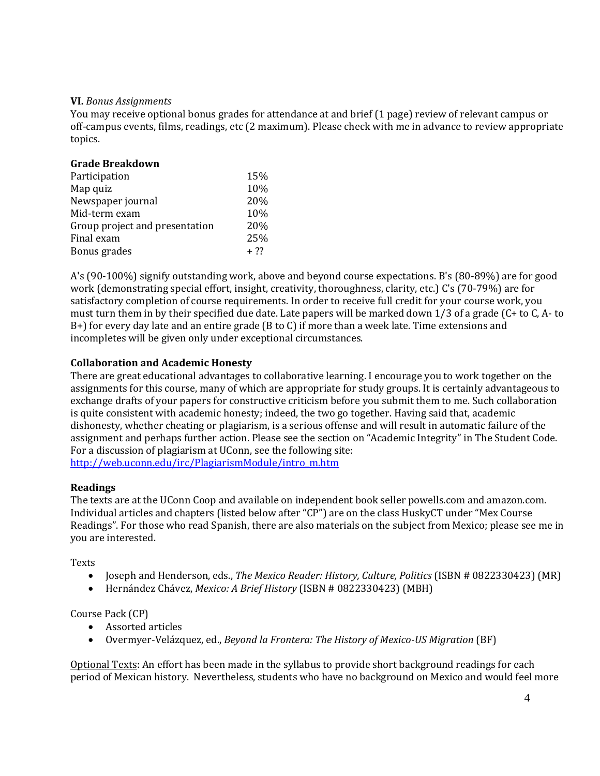## **VI.** *Bonus Assignments*

You may receive optional bonus grades for attendance at and brief (1 page) review of relevant campus or off-campus events, films, readings, etc (2 maximum). Please check with me in advance to review appropriate topics.

| 15%   |
|-------|
| 10%   |
| 20%   |
| 10%   |
| 20%   |
| 25%   |
| $+22$ |
|       |

A's (90-100%) signify outstanding work, above and beyond course expectations. B's (80-89%) are for good work (demonstrating special effort, insight, creativity, thoroughness, clarity, etc.) C's (70-79%) are for satisfactory completion of course requirements. In order to receive full credit for your course work, you must turn them in by their specified due date. Late papers will be marked down 1/3 of a grade (C+ to C, A- to B+) for every day late and an entire grade (B to C) if more than a week late. Time extensions and incompletes will be given only under exceptional circumstances.

## **Collaboration and Academic Honesty**

There are great educational advantages to collaborative learning. I encourage you to work together on the assignments for this course, many of which are appropriate for study groups. It is certainly advantageous to exchange drafts of your papers for constructive criticism before you submit them to me. Such collaboration is quite consistent with academic honesty; indeed, the two go together. Having said that, academic dishonesty, whether cheating or plagiarism, is a serious offense and will result in automatic failure of the assignment and perhaps further action. Please see the section on "Academic Integrity" in The Student Code. For a discussion of plagiarism at UConn, see the following site: [http://web.uconn.edu/irc/PlagiarismModule/intro\\_m.htm](http://web.uconn.edu/irc/PlagiarismModule/intro_m.htm)

## **Readings**

The texts are at the UConn Coop and available on independent book seller powells.com and amazon.com. Individual articles and chapters (listed below after "CP") are on the class HuskyCT under "Mex Course Readings". For those who read Spanish, there are also materials on the subject from Mexico; please see me in you are interested.

**Texts** 

- Joseph and Henderson, eds., *The Mexico Reader: History, Culture, Politics* (ISBN # 0822330423) (MR)
- Hernández Chávez, *Mexico: A Brief History* (ISBN # 0822330423) (MBH)

## Course Pack (CP)

- Assorted articles
- Overmyer-Velázquez, ed., *Beyond la Frontera: The History of Mexico-US Migration* (BF)

Optional Texts: An effort has been made in the syllabus to provide short background readings for each period of Mexican history. Nevertheless, students who have no background on Mexico and would feel more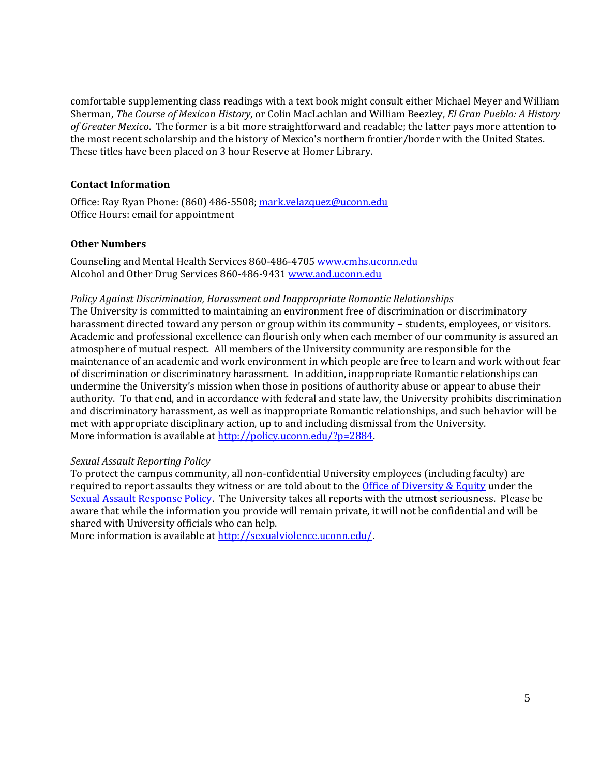comfortable supplementing class readings with a text book might consult either Michael Meyer and William Sherman, *The Course of Mexican History*, or Colin MacLachlan and William Beezley, *El Gran Pueblo: A History of Greater Mexico*. The former is a bit more straightforward and readable; the latter pays more attention to the most recent scholarship and the history of Mexico's northern frontier/border with the United States. These titles have been placed on 3 hour Reserve at Homer Library.

## **Contact Information**

Office: Ray Ryan Phone: (860) 486-5508[; mark.velazquez@uconn.edu](mailto:mark.velazquez@uconn.edu)  Office Hours: email for appointment

## **Other Numbers**

Counseling and Mental Health Services 860-486-4705 [www.cmhs.uconn.edu](javascript:doWindowOpen() Alcohol and Other Drug Services 860-486-943[1 www.aod.uconn.edu](javascript:doWindowOpen()

## *Policy Against Discrimination, Harassment and Inappropriate Romantic Relationships*

The University is committed to maintaining an environment free of discrimination or discriminatory harassment directed toward any person or group within its community – students, employees, or visitors. Academic and professional excellence can flourish only when each member of our community is assured an atmosphere of mutual respect. All members of the University community are responsible for the maintenance of an academic and work environment in which people are free to learn and work without fear of discrimination or discriminatory harassment. In addition, inappropriate Romantic relationships can undermine the University's mission when those in positions of authority abuse or appear to abuse their authority. To that end, and in accordance with federal and state law, the University prohibits discrimination and discriminatory harassment, as well as inappropriate Romantic relationships, and such behavior will be met with appropriate disciplinary action, up to and including dismissal from the University. More information is available a[t http://policy.uconn.edu/?p=2884.](https://exchange.uconn.edu/owa/redir.aspx?C=xaWrax_wC0Gad-C7aKcNNPs0LVcSAtIIEKUPJJs8AtojXV-eLBfv-3HK5d001gup4LAEyRU4VsY.&URL=http%3a%2f%2fpolicy.uconn.edu%2f%3fp%3d2884)

## *Sexual Assault Reporting Policy*

To protect the campus community, all non-confidential University employees (including faculty) are required to report assaults they witness or are told about to the [Office of Diversity & Equity](https://exchange.uconn.edu/owa/redir.aspx?C=xaWrax_wC0Gad-C7aKcNNPs0LVcSAtIIEKUPJJs8AtojXV-eLBfv-3HK5d001gup4LAEyRU4VsY.&URL=http%3a%2f%2fwww.ode.uconn.edu%2f) under the [Sexual Assault Response Policy.](https://exchange.uconn.edu/owa/redir.aspx?C=xaWrax_wC0Gad-C7aKcNNPs0LVcSAtIIEKUPJJs8AtojXV-eLBfv-3HK5d001gup4LAEyRU4VsY.&URL=http%3a%2f%2fpolicy.uconn.edu%2f%3fp%3d2139) The University takes all reports with the utmost seriousness. Please be aware that while the information you provide will remain private, it will not be confidential and will be shared with University officials who can help.

More information is available a[t http://sexualviolence.uconn.edu/.](https://exchange.uconn.edu/owa/redir.aspx?C=xaWrax_wC0Gad-C7aKcNNPs0LVcSAtIIEKUPJJs8AtojXV-eLBfv-3HK5d001gup4LAEyRU4VsY.&URL=http%3a%2f%2fsexualviolence.uconn.edu%2f)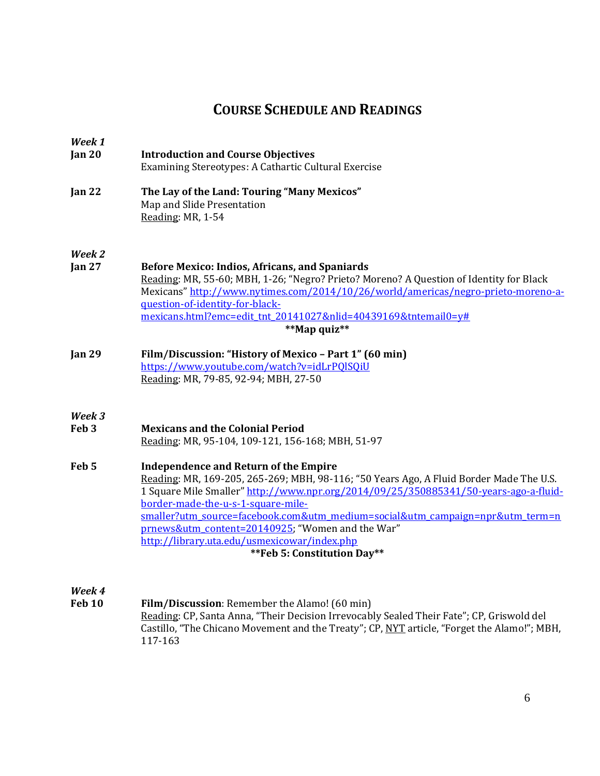## **COURSE SCHEDULE AND READINGS**

| Week 1<br>Jan $20$         | <b>Introduction and Course Objectives</b><br>Examining Stereotypes: A Cathartic Cultural Exercise                                                                                                                                                                                                                                                                                                                                                                                          |
|----------------------------|--------------------------------------------------------------------------------------------------------------------------------------------------------------------------------------------------------------------------------------------------------------------------------------------------------------------------------------------------------------------------------------------------------------------------------------------------------------------------------------------|
| Jan $22$                   | The Lay of the Land: Touring "Many Mexicos"<br>Map and Slide Presentation<br>Reading: MR, 1-54                                                                                                                                                                                                                                                                                                                                                                                             |
| Week 2<br>Jan $27$         | <b>Before Mexico: Indios, Africans, and Spaniards</b><br>Reading: MR, 55-60; MBH, 1-26; "Negro? Prieto? Moreno? A Question of Identity for Black<br>Mexicans" http://www.nytimes.com/2014/10/26/world/americas/negro-prieto-moreno-a-<br>question-of-identity-for-black-<br>mexicans.html?emc=edit tnt 20141027&nlid=40439169&tntemail0=y#<br>**Map quiz**                                                                                                                                 |
| <b>Jan 29</b>              | Film/Discussion: "History of Mexico - Part 1" (60 min)<br>https://www.youtube.com/watch?v=idLrPQISQiU<br>Reading: MR, 79-85, 92-94; MBH, 27-50                                                                                                                                                                                                                                                                                                                                             |
| Week 3<br>Feb <sub>3</sub> | <b>Mexicans and the Colonial Period</b><br>Reading: MR, 95-104, 109-121, 156-168; MBH, 51-97                                                                                                                                                                                                                                                                                                                                                                                               |
| Feb <sub>5</sub>           | <b>Independence and Return of the Empire</b><br>Reading: MR, 169-205, 265-269; MBH, 98-116; "50 Years Ago, A Fluid Border Made The U.S.<br>1 Square Mile Smaller" http://www.npr.org/2014/09/25/350885341/50-years-ago-a-fluid-<br>border-made-the-u-s-1-square-mile-<br>smaller?utm_source=facebook.com&utm_medium=social&utm_campaign=npr&utm_term=n<br>prnews&utm_content=20140925; "Women and the War"<br>http://library.uta.edu/usmexicowar/index.php<br>** Feb 5: Constitution Day** |

*Week 4*

**Film/Discussion**: Remember the Alamo! (60 min) Reading: CP, Santa Anna, "Their Decision Irrevocably Sealed Their Fate"; CP, Griswold del Castillo, "The Chicano Movement and the Treaty"; CP, NYT article, "Forget the Alamo!"; MBH, 117-163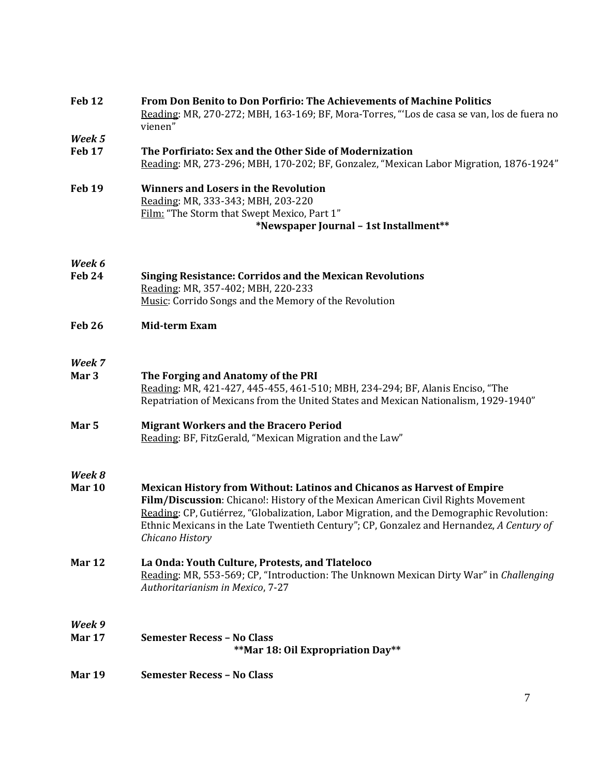| <b>Mar 19</b>              | <b>Semester Recess - No Class</b>                                                                                                                                                                                                                                                                                                                                             |
|----------------------------|-------------------------------------------------------------------------------------------------------------------------------------------------------------------------------------------------------------------------------------------------------------------------------------------------------------------------------------------------------------------------------|
| Week 9<br>Mar 17           | <b>Semester Recess - No Class</b><br>**Mar 18: Oil Expropriation Day**                                                                                                                                                                                                                                                                                                        |
| Mar 12                     | La Onda: Youth Culture, Protests, and Tlateloco<br>Reading: MR, 553-569; CP, "Introduction: The Unknown Mexican Dirty War" in Challenging<br>Authoritarianism in Mexico, 7-27                                                                                                                                                                                                 |
| Week 8<br><b>Mar 10</b>    | <b>Mexican History from Without: Latinos and Chicanos as Harvest of Empire</b><br>Film/Discussion: Chicano!: History of the Mexican American Civil Rights Movement<br>Reading: CP, Gutiérrez, "Globalization, Labor Migration, and the Demographic Revolution:<br>Ethnic Mexicans in the Late Twentieth Century"; CP, Gonzalez and Hernandez, A Century of<br>Chicano History |
| Mar 5                      | <b>Migrant Workers and the Bracero Period</b><br>Reading: BF, FitzGerald, "Mexican Migration and the Law"                                                                                                                                                                                                                                                                     |
| Week 7<br>Mar <sub>3</sub> | The Forging and Anatomy of the PRI<br>Reading: MR, 421-427, 445-455, 461-510; MBH, 234-294; BF, Alanis Enciso, "The<br>Repatriation of Mexicans from the United States and Mexican Nationalism, 1929-1940"                                                                                                                                                                    |
| Feb 26                     | <b>Mid-term Exam</b>                                                                                                                                                                                                                                                                                                                                                          |
| Week 6<br>Feb 24           | <b>Singing Resistance: Corridos and the Mexican Revolutions</b><br>Reading: MR, 357-402; MBH, 220-233<br>Music: Corrido Songs and the Memory of the Revolution                                                                                                                                                                                                                |
| <b>Feb 19</b>              | <b>Winners and Losers in the Revolution</b><br>Reading: MR, 333-343; MBH, 203-220<br>Film: "The Storm that Swept Mexico, Part 1"<br>*Newspaper Journal - 1st Installment**                                                                                                                                                                                                    |
| Week 5<br>Feb 17           | The Porfiriato: Sex and the Other Side of Modernization<br>Reading: MR, 273-296; MBH, 170-202; BF, Gonzalez, "Mexican Labor Migration, 1876-1924"                                                                                                                                                                                                                             |
|                            | <b>From Don Benito to Don Porfirio: The Achievements of Machine Politics</b><br>Reading: MR, 270-272; MBH, 163-169; BF, Mora-Torres, "Los de casa se van, los de fuera no<br>vienen"                                                                                                                                                                                          |
| Feb 12                     |                                                                                                                                                                                                                                                                                                                                                                               |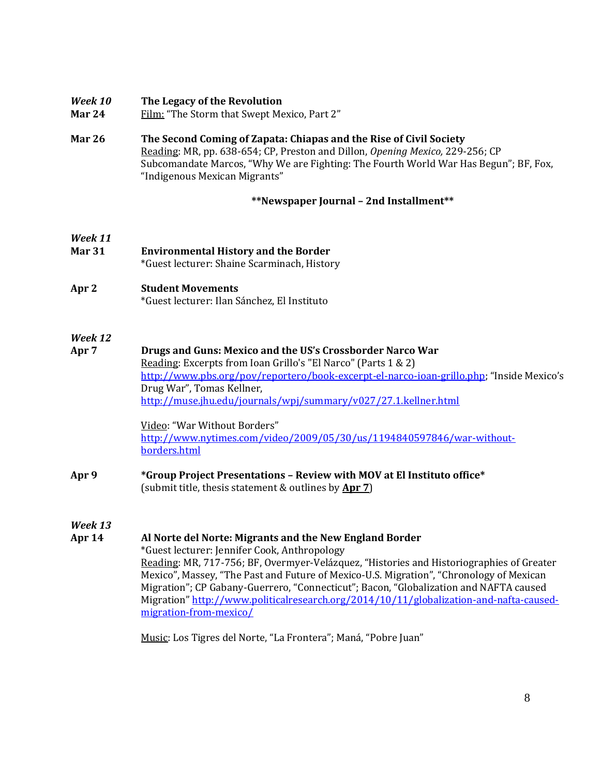## *Week 10* **The Legacy of the Revolution**

- Mar 24 Film: "The Storm that Swept Mexico, Part 2"
- **Mar 26 The Second Coming of Zapata: Chiapas and the Rise of Civil Society**  Reading: MR, pp. 638-654; CP, Preston and Dillon, *Opening Mexico,* 229-256; CP Subcomandate Marcos, "Why We are Fighting: The Fourth World War Has Begun"; BF, Fox, "Indigenous Mexican Migrants"

## **\*\*Newspaper Journal – 2nd Installment\*\***

# *Week 11*

- **Mar 31 Environmental History and the Border** \*Guest lecturer: Shaine Scarminach, History
- **Apr 2 Student Movements** \*Guest lecturer: Ilan Sánchez, El Instituto

## *Week 12*

**Apr 7 Drugs and Guns: Mexico and the US's Crossborder Narco War** Reading: Excerpts from Ioan Grillo's "El Narco" (Parts 1 & 2) <http://www.pbs.org/pov/reportero/book-excerpt-el-narco-ioan-grillo.php>; "Inside Mexico's Drug War", Tomas Kellner, <http://muse.jhu.edu/journals/wpj/summary/v027/27.1.kellner.html>

> Video: "War Without Borders" [http://www.nytimes.com/video/2009/05/30/us/1194840597846/war-without](http://www.nytimes.com/video/2009/05/30/us/1194840597846/war-without-borders.html)[borders.html](http://www.nytimes.com/video/2009/05/30/us/1194840597846/war-without-borders.html)

**Apr 9 \*Group Project Presentations – Review with MOV at El Instituto office\*** (submit title, thesis statement & outlines by **Apr 7**)

*Week 13*

## **Apr 14 Al Norte del Norte: Migrants and the New England Border**

\*Guest lecturer: Jennifer Cook, Anthropology

Reading: MR, 717-756; BF, Overmyer-Velázquez, "Histories and Historiographies of Greater Mexico", Massey, "The Past and Future of Mexico-U.S. Migration", "Chronology of Mexican Migration"; CP Gabany-Guerrero, "Connecticut"; Bacon, "Globalization and NAFTA caused Migration" [http://www.politicalresearch.org/2014/10/11/globalization-and-nafta-caused](http://www.politicalresearch.org/2014/10/11/globalization-and-nafta-caused-migration-from-mexico/)[migration-from-mexico/](http://www.politicalresearch.org/2014/10/11/globalization-and-nafta-caused-migration-from-mexico/)

Music: Los Tigres del Norte, "La Frontera"; Maná, "Pobre Juan"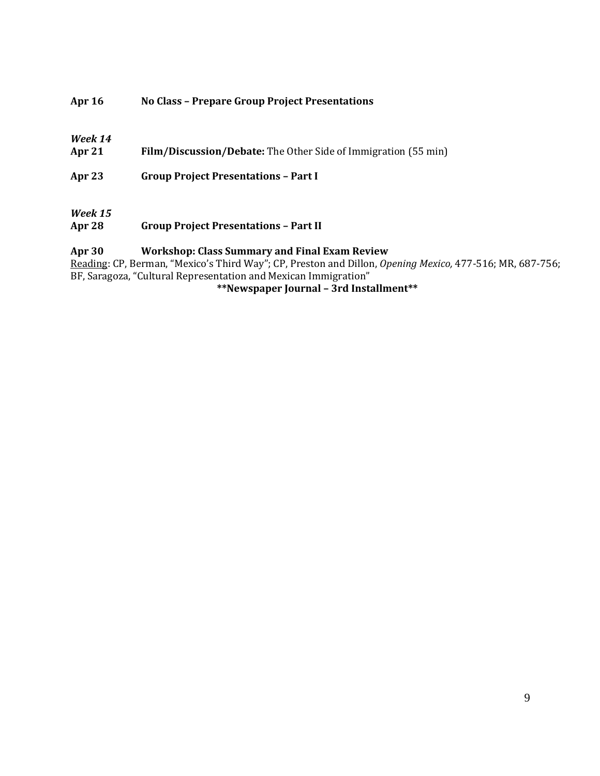## **Apr 16 No Class – Prepare Group Project Presentations**

## *Week 14*

**Apr 21 Film/Discussion/Debate:** The Other Side of Immigration (55 min)

**Apr 23 Group Project Presentations – Part I**

## *Week 15*

**Apr 28 Group Project Presentations – Part II**

## **Apr 30 Workshop: Class Summary and Final Exam Review**

Reading: CP, Berman, "Mexico's Third Way"; CP, Preston and Dillon, *Opening Mexico,* 477-516; MR, 687-756; BF, Saragoza, "Cultural Representation and Mexican Immigration"

## **\*\*Newspaper Journal – 3rd Installment\*\***